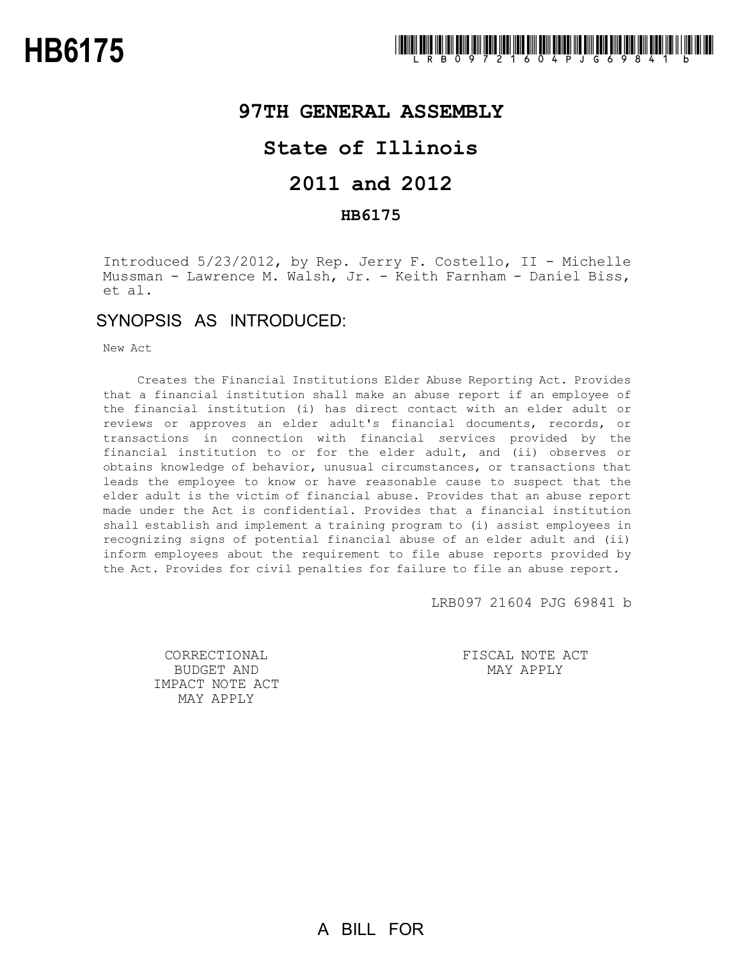## **97TH GENERAL ASSEMBLY**

## **State of Illinois**

# **2011 and 2012**

### **HB6175**

Introduced 5/23/2012, by Rep. Jerry F. Costello, II - Michelle Mussman - Lawrence M. Walsh, Jr. - Keith Farnham - Daniel Biss, et al.

## SYNOPSIS AS INTRODUCED:

New Act

Creates the Financial Institutions Elder Abuse Reporting Act. Provides that a financial institution shall make an abuse report if an employee of the financial institution (i) has direct contact with an elder adult or reviews or approves an elder adult's financial documents, records, or transactions in connection with financial services provided by the financial institution to or for the elder adult, and (ii) observes or obtains knowledge of behavior, unusual circumstances, or transactions that leads the employee to know or have reasonable cause to suspect that the elder adult is the victim of financial abuse. Provides that an abuse report made under the Act is confidential. Provides that a financial institution shall establish and implement a training program to (i) assist employees in recognizing signs of potential financial abuse of an elder adult and (ii) inform employees about the requirement to file abuse reports provided by the Act. Provides for civil penalties for failure to file an abuse report.

LRB097 21604 PJG 69841 b

CORRECTIONAL BUDGET AND IMPACT NOTE ACT MAY APPLY

FISCAL NOTE ACT MAY APPLY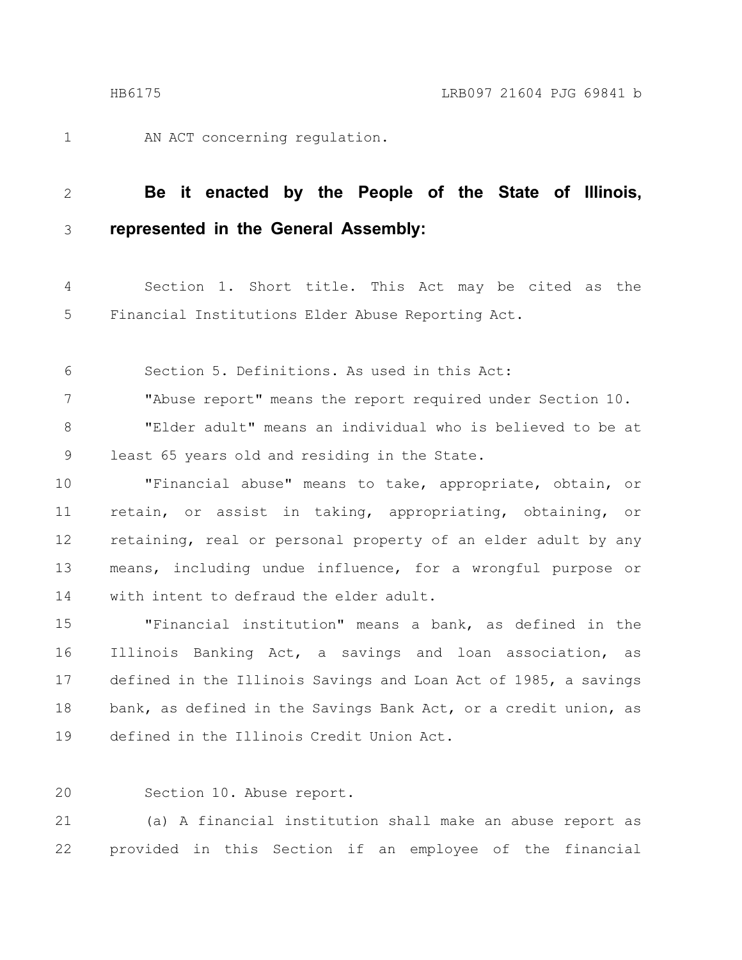1

AN ACT concerning regulation.

#### **Be it enacted by the People of the State of Illinois, represented in the General Assembly:** 2 3

Section 1. Short title. This Act may be cited as the Financial Institutions Elder Abuse Reporting Act. 4 5

Section 5. Definitions. As used in this Act: 6

"Abuse report" means the report required under Section 10. "Elder adult" means an individual who is believed to be at least 65 years old and residing in the State. 7 8 9

"Financial abuse" means to take, appropriate, obtain, or retain, or assist in taking, appropriating, obtaining, or retaining, real or personal property of an elder adult by any means, including undue influence, for a wrongful purpose or with intent to defraud the elder adult. 10 11 12 13 14

"Financial institution" means a bank, as defined in the Illinois Banking Act, a savings and loan association, as defined in the Illinois Savings and Loan Act of 1985, a savings bank, as defined in the Savings Bank Act, or a credit union, as defined in the Illinois Credit Union Act. 15 16 17 18 19

Section 10. Abuse report. 20

(a) A financial institution shall make an abuse report as provided in this Section if an employee of the financial 21 22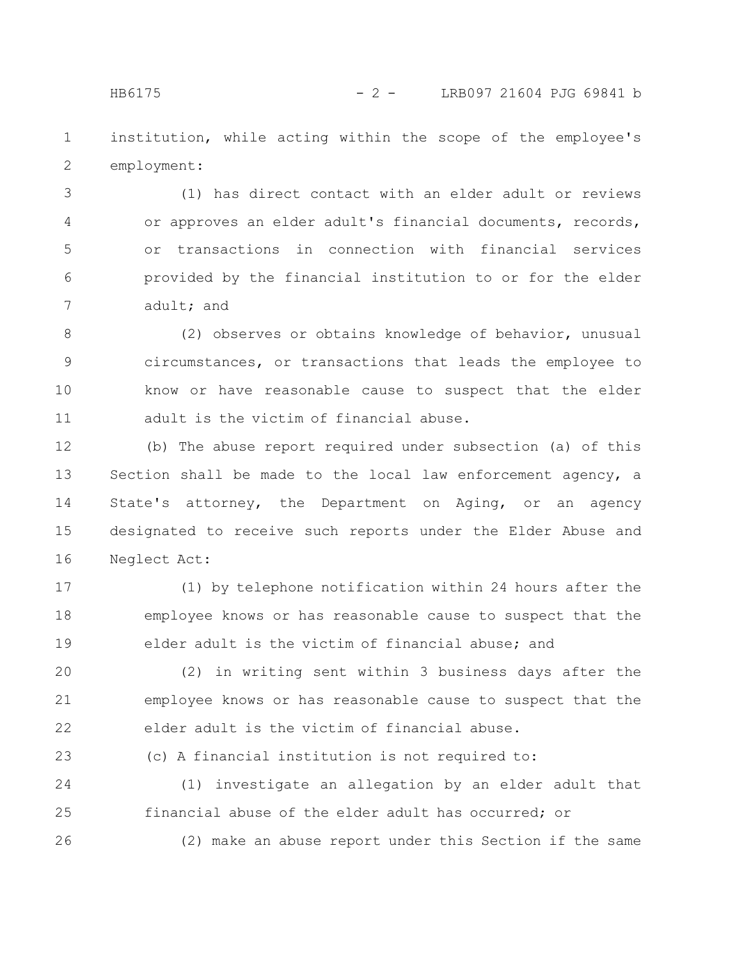institution, while acting within the scope of the employee's employment: 1 2

(1) has direct contact with an elder adult or reviews or approves an elder adult's financial documents, records, or transactions in connection with financial services provided by the financial institution to or for the elder adult; and 3 4 5 6 7

(2) observes or obtains knowledge of behavior, unusual circumstances, or transactions that leads the employee to know or have reasonable cause to suspect that the elder adult is the victim of financial abuse. 8 9 10 11

(b) The abuse report required under subsection (a) of this Section shall be made to the local law enforcement agency, a State's attorney, the Department on Aging, or an agency designated to receive such reports under the Elder Abuse and Neglect Act: 12 13 14 15 16

(1) by telephone notification within 24 hours after the employee knows or has reasonable cause to suspect that the elder adult is the victim of financial abuse; and 17 18 19

(2) in writing sent within 3 business days after the employee knows or has reasonable cause to suspect that the elder adult is the victim of financial abuse. 20 21 22

(c) A financial institution is not required to: 23

(1) investigate an allegation by an elder adult that financial abuse of the elder adult has occurred; or 24 25

(2) make an abuse report under this Section if the same

26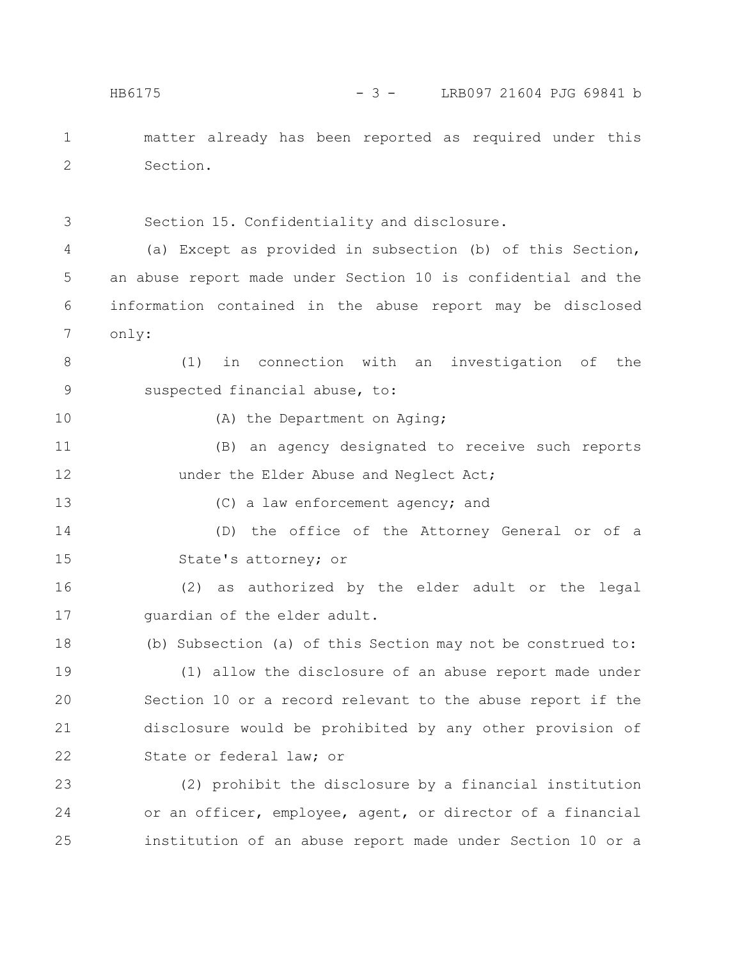matter already has been reported as required under this Section. 1 2

3

Section 15. Confidentiality and disclosure.

(a) Except as provided in subsection (b) of this Section, an abuse report made under Section 10 is confidential and the information contained in the abuse report may be disclosed only:  $\Delta$ 5 6 7

(1) in connection with an investigation of the suspected financial abuse, to: 8 9

10

(A) the Department on Aging;

(B) an agency designated to receive such reports under the Elder Abuse and Neglect Act; 11 12

13

(C) a law enforcement agency; and

(D) the office of the Attorney General or of a State's attorney; or 14 15

(2) as authorized by the elder adult or the legal guardian of the elder adult. 16 17

(b) Subsection (a) of this Section may not be construed to: 18

(1) allow the disclosure of an abuse report made under Section 10 or a record relevant to the abuse report if the disclosure would be prohibited by any other provision of State or federal law; or 19 20 21 22

(2) prohibit the disclosure by a financial institution or an officer, employee, agent, or director of a financial institution of an abuse report made under Section 10 or a 23 24 25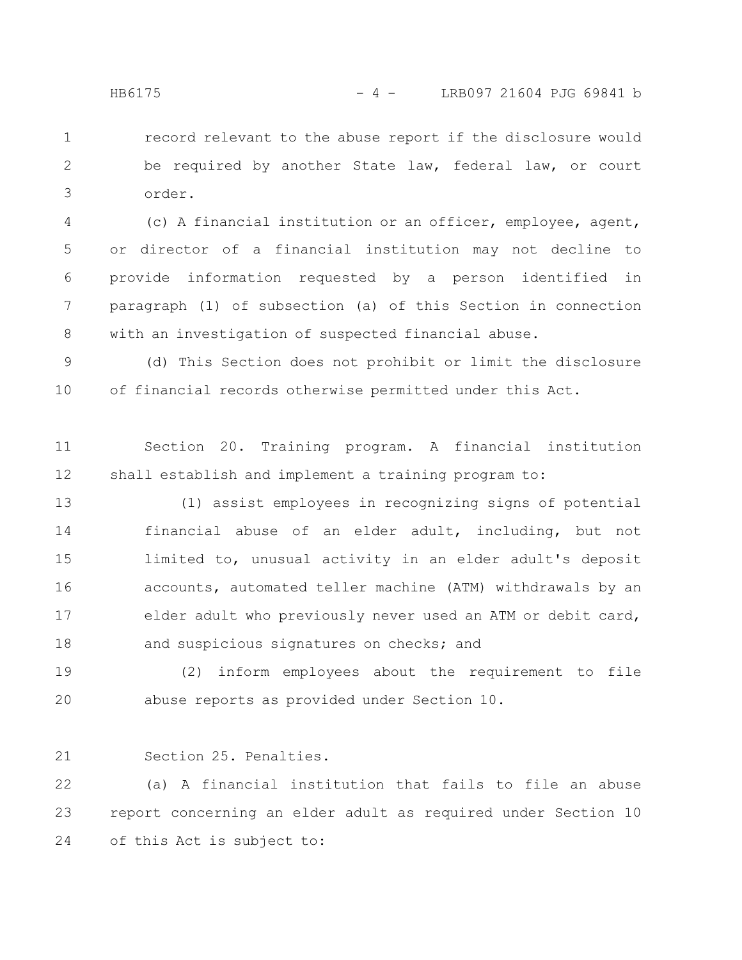record relevant to the abuse report if the disclosure would be required by another State law, federal law, or court order. 1 2 3

(c) A financial institution or an officer, employee, agent, or director of a financial institution may not decline to provide information requested by a person identified in paragraph (1) of subsection (a) of this Section in connection with an investigation of suspected financial abuse. 4 5 6 7 8

(d) This Section does not prohibit or limit the disclosure of financial records otherwise permitted under this Act. 9 10

Section 20. Training program. A financial institution shall establish and implement a training program to: 11 12

(1) assist employees in recognizing signs of potential financial abuse of an elder adult, including, but not limited to, unusual activity in an elder adult's deposit accounts, automated teller machine (ATM) withdrawals by an elder adult who previously never used an ATM or debit card, and suspicious signatures on checks; and 13 14 15 16 17 18

(2) inform employees about the requirement to file abuse reports as provided under Section 10. 19 20

Section 25. Penalties. 21

(a) A financial institution that fails to file an abuse report concerning an elder adult as required under Section 10 of this Act is subject to: 22 23 24